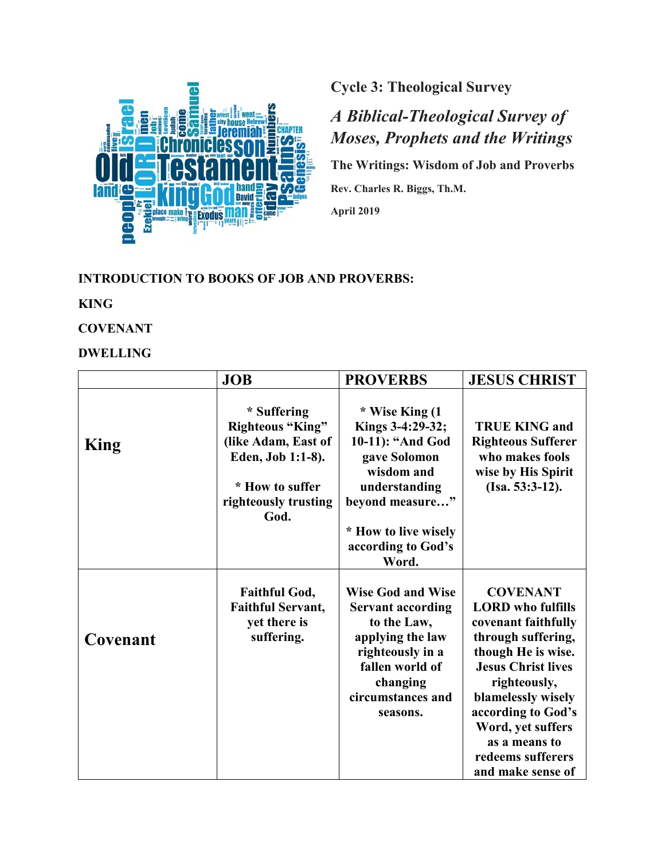

**Cycle 3: Theological Survey**

# *A Biblical-Theological Survey of Moses, Prophets and the Writings*

**The Writings: Wisdom of Job and Proverbs**

**Rev. Charles R. Biggs, Th.M.** 

**April 2019**

### **INTRODUCTION TO BOOKS OF JOB AND PROVERBS:**

## **KING**

## **COVENANT**

## **DWELLING**

|             | <b>JOB</b>                                                                                                                            | <b>PROVERBS</b>                                                                                                                                                             | <b>JESUS CHRIST</b>                                                                                                                                                                                                                                                                     |
|-------------|---------------------------------------------------------------------------------------------------------------------------------------|-----------------------------------------------------------------------------------------------------------------------------------------------------------------------------|-----------------------------------------------------------------------------------------------------------------------------------------------------------------------------------------------------------------------------------------------------------------------------------------|
| <b>King</b> | * Suffering<br><b>Righteous "King"</b><br>(like Adam, East of<br>Eden, Job 1:1-8).<br>* How to suffer<br>righteously trusting<br>God. | * Wise King (1<br>Kings 3-4:29-32;<br>10-11): "And God<br>gave Solomon<br>wisdom and<br>understanding<br>beyond measure"<br>* How to live wisely                            | <b>TRUE KING and</b><br><b>Righteous Sufferer</b><br>who makes fools<br>wise by His Spirit<br>$(Isa. 53:3-12).$                                                                                                                                                                         |
|             |                                                                                                                                       | according to God's<br>Word.                                                                                                                                                 |                                                                                                                                                                                                                                                                                         |
| Covenant    | <b>Faithful God,</b><br><b>Faithful Servant,</b><br>yet there is<br>suffering.                                                        | <b>Wise God and Wise</b><br><b>Servant according</b><br>to the Law,<br>applying the law<br>righteously in a<br>fallen world of<br>changing<br>circumstances and<br>seasons. | <b>COVENANT</b><br><b>LORD</b> who fulfills<br>covenant faithfully<br>through suffering,<br>though He is wise.<br><b>Jesus Christ lives</b><br>righteously,<br>blamelessly wisely<br>according to God's<br>Word, yet suffers<br>as a means to<br>redeems sufferers<br>and make sense of |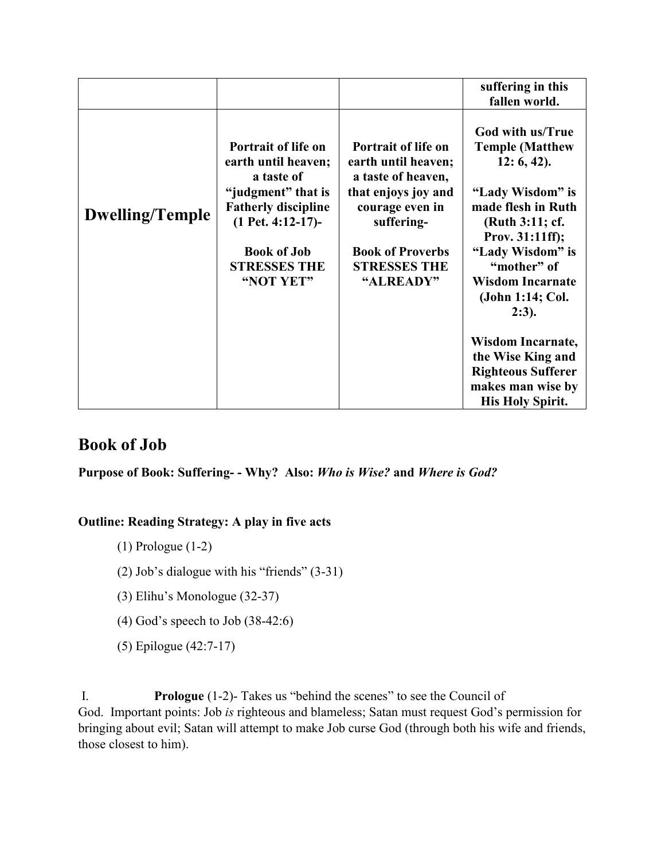|                        |                                                                                                                                                                                               |                                                                                                                                                                                         | suffering in this<br>fallen world.                                                                                                                                                                                                     |
|------------------------|-----------------------------------------------------------------------------------------------------------------------------------------------------------------------------------------------|-----------------------------------------------------------------------------------------------------------------------------------------------------------------------------------------|----------------------------------------------------------------------------------------------------------------------------------------------------------------------------------------------------------------------------------------|
| <b>Dwelling/Temple</b> | Portrait of life on<br>earth until heaven;<br>a taste of<br>"judgment" that is<br><b>Fatherly discipline</b><br>$(1$ Pet. 4:12-17)-<br><b>Book of Job</b><br><b>STRESSES THE</b><br>"NOT YET" | Portrait of life on<br>earth until heaven;<br>a taste of heaven,<br>that enjoys joy and<br>courage even in<br>suffering-<br><b>Book of Proverbs</b><br><b>STRESSES THE</b><br>"ALREADY" | God with us/True<br><b>Temple (Matthew</b><br>12: 6, 42.<br>"Lady Wisdom" is<br>made flesh in Ruth<br>(Ruth 3:11; cf.<br>Prov. 31:11ff);<br>"Lady Wisdom" is<br>"mother" of<br><b>Wisdom Incarnate</b><br>(John 1:14; Col.<br>$2:3$ ). |
|                        |                                                                                                                                                                                               |                                                                                                                                                                                         | <b>Wisdom Incarnate,</b><br>the Wise King and<br><b>Righteous Sufferer</b><br>makes man wise by<br><b>His Holy Spirit.</b>                                                                                                             |

## **Book of Job**

**Purpose of Book: Suffering- - Why? Also:** *Who is Wise?* **and** *Where is God?*

## **Outline: Reading Strategy: A play in five acts**

(1) Prologue (1-2)

(2) Job's dialogue with his "friends" (3-31)

- (3) Elihu's Monologue (32-37)
- (4) God's speech to Job (38-42:6)

(5) Epilogue (42:7-17)

I. **Prologue** (1-2)- Takes us "behind the scenes" to see the Council of God. Important points: Job *is* righteous and blameless; Satan must request God's permission for bringing about evil; Satan will attempt to make Job curse God (through both his wife and friends, those closest to him).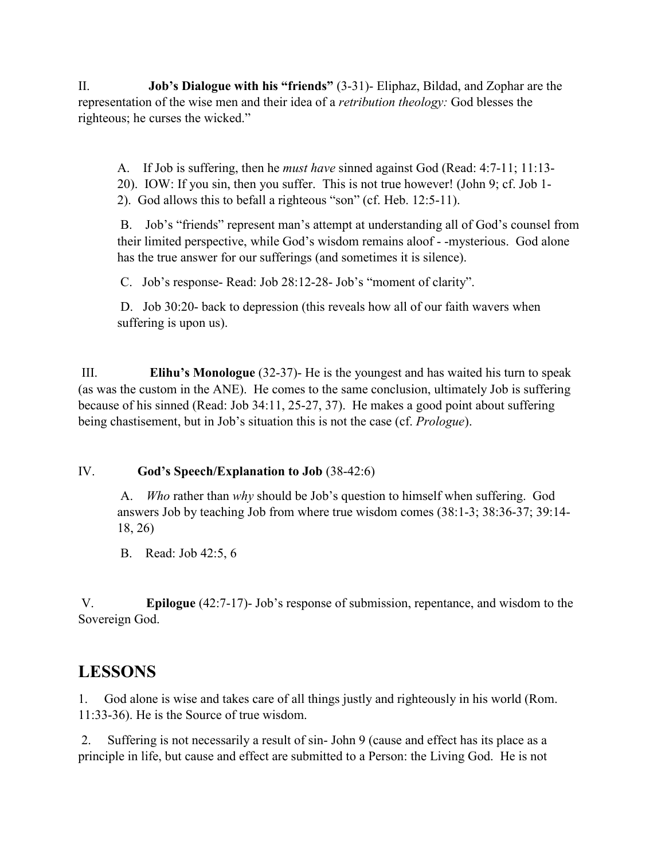II. **Job's Dialogue with his "friends"** (3-31)- Eliphaz, Bildad, and Zophar are the representation of the wise men and their idea of a *retribution theology:* God blesses the righteous; he curses the wicked."

A. If Job is suffering, then he *must have* sinned against God (Read: 4:7-11; 11:13- 20). IOW: If you sin, then you suffer. This is not true however! (John 9; cf. Job 1- 2). God allows this to befall a righteous "son" (cf. Heb. 12:5-11).

B. Job's "friends" represent man's attempt at understanding all of God's counsel from their limited perspective, while God's wisdom remains aloof - -mysterious. God alone has the true answer for our sufferings (and sometimes it is silence).

C. Job's response- Read: Job 28:12-28- Job's "moment of clarity".

D. Job 30:20- back to depression (this reveals how all of our faith wavers when suffering is upon us).

III. **Elihu's Monologue** (32-37)- He is the youngest and has waited his turn to speak (as was the custom in the ANE). He comes to the same conclusion, ultimately Job is suffering because of his sinned (Read: Job 34:11, 25-27, 37). He makes a good point about suffering being chastisement, but in Job's situation this is not the case (cf. *Prologue*).

#### IV. **God's Speech/Explanation to Job** (38-42:6)

A. *Who* rather than *why* should be Job's question to himself when suffering. God answers Job by teaching Job from where true wisdom comes (38:1-3; 38:36-37; 39:14- 18, 26)

B. Read: Job 42:5, 6

V. **Epilogue** (42:7-17)- Job's response of submission, repentance, and wisdom to the Sovereign God.

## **LESSONS**

1. God alone is wise and takes care of all things justly and righteously in his world (Rom. 11:33-36). He is the Source of true wisdom.

2. Suffering is not necessarily a result of sin- John 9 (cause and effect has its place as a principle in life, but cause and effect are submitted to a Person: the Living God. He is not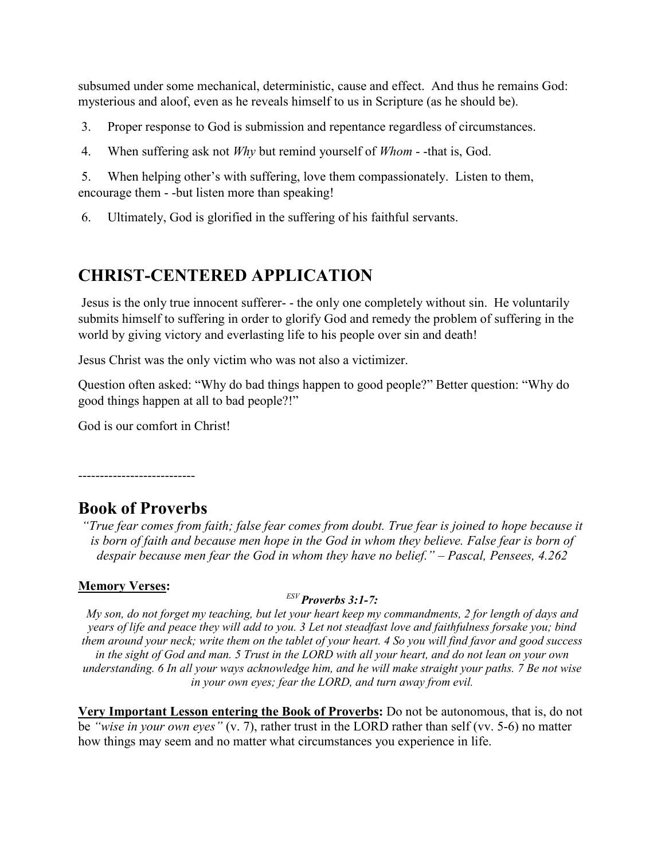subsumed under some mechanical, deterministic, cause and effect. And thus he remains God: mysterious and aloof, even as he reveals himself to us in Scripture (as he should be).

3. Proper response to God is submission and repentance regardless of circumstances.

4. When suffering ask not *Why* but remind yourself of *Whom* - -that is, God.

5. When helping other's with suffering, love them compassionately. Listen to them, encourage them - -but listen more than speaking!

6. Ultimately, God is glorified in the suffering of his faithful servants.

## **CHRIST-CENTERED APPLICATION**

Jesus is the only true innocent sufferer- - the only one completely without sin. He voluntarily submits himself to suffering in order to glorify God and remedy the problem of suffering in the world by giving victory and everlasting life to his people over sin and death!

Jesus Christ was the only victim who was not also a victimizer.

Question often asked: "Why do bad things happen to good people?" Better question: "Why do good things happen at all to bad people?!"

God is our comfort in Christ!

---------------------------

## **Book of Proverbs**

*"True fear comes from faith; false fear comes from doubt. True fear is joined to hope because it*  is born of faith and because men hope in the God in whom they believe. False fear is born of *despair because men fear the God in whom they have no belief." – Pascal, Pensees, 4.262*

### **Memory Verses:**

#### *ESV Proverbs 3:1-7:*

*My son, do not forget my teaching, but let your heart keep my commandments, 2 for length of days and years of life and peace they will add to you. 3 Let not steadfast love and faithfulness forsake you; bind them around your neck; write them on the tablet of your heart. 4 So you will find favor and good success in the sight of God and man. 5 Trust in the LORD with all your heart, and do not lean on your own understanding. 6 In all your ways acknowledge him, and he will make straight your paths. 7 Be not wise in your own eyes; fear the LORD, and turn away from evil.*

**Very Important Lesson entering the Book of Proverbs:** Do not be autonomous, that is, do not be *"wise in your own eyes"* (v. 7), rather trust in the LORD rather than self (vv. 5-6) no matter how things may seem and no matter what circumstances you experience in life.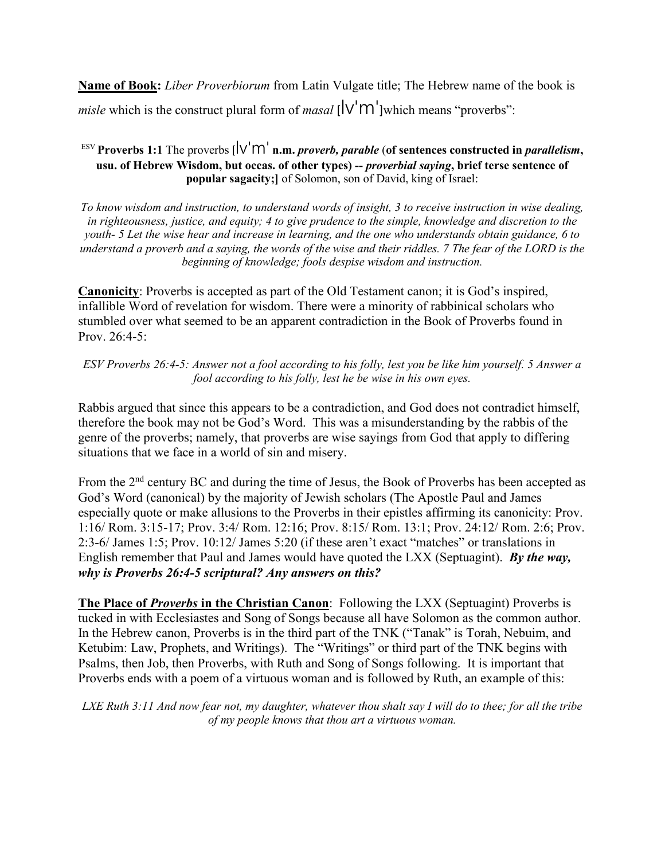**Name of Book:** *Liber Proverbiorum* from Latin Vulgate title; The Hebrew name of the book is *misle* which is the construct plural form of *masal*  $\left[\sqrt{m}\right]$  which means "proverbs":

#### <sup>ESV</sup> **Proverbs 1:1** The proverbs  $\left[\n\vee \n\begin{bmatrix} \n\vee \n\end{bmatrix}\n\right]$  **n.m.** *proverb*, *parable* (of sentences constructed in *parallelism*, **usu. of Hebrew Wisdom, but occas. of other types) --** *proverbial saying***, brief terse sentence of popular sagacity;]** of Solomon, son of David, king of Israel:

*To know wisdom and instruction, to understand words of insight, 3 to receive instruction in wise dealing, in righteousness, justice, and equity; 4 to give prudence to the simple, knowledge and discretion to the youth- 5 Let the wise hear and increase in learning, and the one who understands obtain guidance, 6 to understand a proverb and a saying, the words of the wise and their riddles. 7 The fear of the LORD is the beginning of knowledge; fools despise wisdom and instruction.*

**Canonicity**: Proverbs is accepted as part of the Old Testament canon; it is God's inspired, infallible Word of revelation for wisdom. There were a minority of rabbinical scholars who stumbled over what seemed to be an apparent contradiction in the Book of Proverbs found in Prov. 26:4-5:

*ESV Proverbs 26:4-5: Answer not a fool according to his folly, lest you be like him yourself. 5 Answer a fool according to his folly, lest he be wise in his own eyes.*

Rabbis argued that since this appears to be a contradiction, and God does not contradict himself, therefore the book may not be God's Word. This was a misunderstanding by the rabbis of the genre of the proverbs; namely, that proverbs are wise sayings from God that apply to differing situations that we face in a world of sin and misery.

From the 2<sup>nd</sup> century BC and during the time of Jesus, the Book of Proverbs has been accepted as God's Word (canonical) by the majority of Jewish scholars (The Apostle Paul and James especially quote or make allusions to the Proverbs in their epistles affirming its canonicity: Prov. 1:16/ Rom. 3:15-17; Prov. 3:4/ Rom. 12:16; Prov. 8:15/ Rom. 13:1; Prov. 24:12/ Rom. 2:6; Prov. 2:3-6/ James 1:5; Prov. 10:12/ James 5:20 (if these aren't exact "matches" or translations in English remember that Paul and James would have quoted the LXX (Septuagint). *By the way, why is Proverbs 26:4-5 scriptural? Any answers on this?*

**The Place of** *Proverbs* **in the Christian Canon**: Following the LXX (Septuagint) Proverbs is tucked in with Ecclesiastes and Song of Songs because all have Solomon as the common author. In the Hebrew canon, Proverbs is in the third part of the TNK ("Tanak" is Torah, Nebuim, and Ketubim: Law, Prophets, and Writings). The "Writings" or third part of the TNK begins with Psalms, then Job, then Proverbs, with Ruth and Song of Songs following. It is important that Proverbs ends with a poem of a virtuous woman and is followed by Ruth, an example of this:

*LXE Ruth 3:11 And now fear not, my daughter, whatever thou shalt say I will do to thee; for all the tribe of my people knows that thou art a virtuous woman.*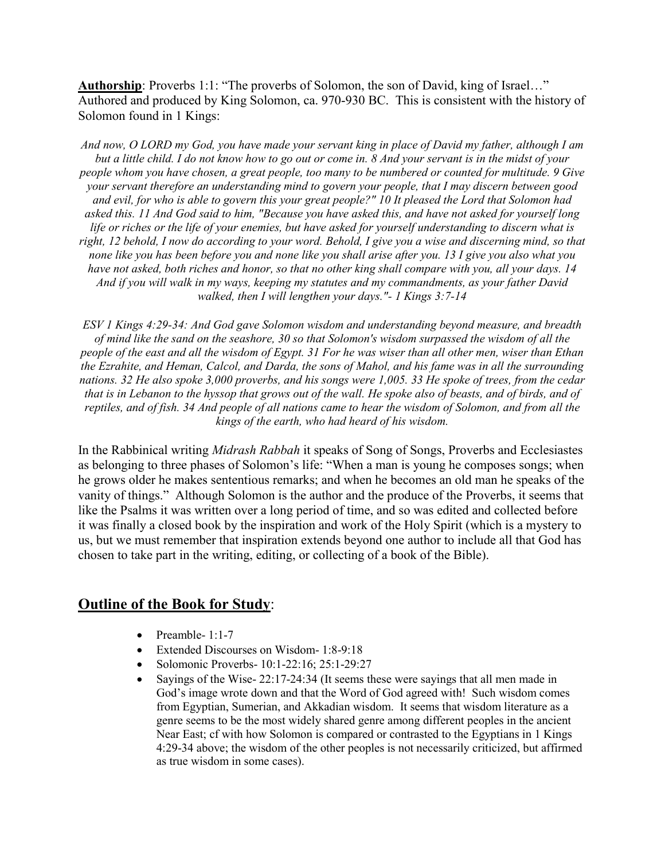Authorship: Proverbs 1:1: "The proverbs of Solomon, the son of David, king of Israel..." Authored and produced by King Solomon, ca. 970-930 BC. This is consistent with the history of Solomon found in 1 Kings:

*And now, O LORD my God, you have made your servant king in place of David my father, although I am but a little child. I do not know how to go out or come in. 8 And your servant is in the midst of your people whom you have chosen, a great people, too many to be numbered or counted for multitude. 9 Give your servant therefore an understanding mind to govern your people, that I may discern between good and evil, for who is able to govern this your great people?" 10 It pleased the Lord that Solomon had asked this. 11 And God said to him, "Because you have asked this, and have not asked for yourself long life or riches or the life of your enemies, but have asked for yourself understanding to discern what is right, 12 behold, I now do according to your word. Behold, I give you a wise and discerning mind, so that none like you has been before you and none like you shall arise after you. 13 I give you also what you have not asked, both riches and honor, so that no other king shall compare with you, all your days. 14 And if you will walk in my ways, keeping my statutes and my commandments, as your father David walked, then I will lengthen your days."- 1 Kings 3:7-14*

*ESV 1 Kings 4:29-34: And God gave Solomon wisdom and understanding beyond measure, and breadth of mind like the sand on the seashore, 30 so that Solomon's wisdom surpassed the wisdom of all the people of the east and all the wisdom of Egypt. 31 For he was wiser than all other men, wiser than Ethan the Ezrahite, and Heman, Calcol, and Darda, the sons of Mahol, and his fame was in all the surrounding nations. 32 He also spoke 3,000 proverbs, and his songs were 1,005. 33 He spoke of trees, from the cedar that is in Lebanon to the hyssop that grows out of the wall. He spoke also of beasts, and of birds, and of reptiles, and of fish. 34 And people of all nations came to hear the wisdom of Solomon, and from all the kings of the earth, who had heard of his wisdom.*

In the Rabbinical writing *Midrash Rabbah* it speaks of Song of Songs, Proverbs and Ecclesiastes as belonging to three phases of Solomon's life: "When a man is young he composes songs; when he grows older he makes sententious remarks; and when he becomes an old man he speaks of the vanity of things." Although Solomon is the author and the produce of the Proverbs, it seems that like the Psalms it was written over a long period of time, and so was edited and collected before it was finally a closed book by the inspiration and work of the Holy Spirit (which is a mystery to us, but we must remember that inspiration extends beyond one author to include all that God has chosen to take part in the writing, editing, or collecting of a book of the Bible).

#### **Outline of the Book for Study**:

- Preamble- 1:1-7
- Extended Discourses on Wisdom- 1:8-9:18
- Solomonic Proverbs- 10:1-22:16; 25:1-29:27
- Sayings of the Wise- 22:17-24:34 (It seems these were sayings that all men made in God's image wrote down and that the Word of God agreed with! Such wisdom comes from Egyptian, Sumerian, and Akkadian wisdom. It seems that wisdom literature as a genre seems to be the most widely shared genre among different peoples in the ancient Near East; cf with how Solomon is compared or contrasted to the Egyptians in 1 Kings 4:29-34 above; the wisdom of the other peoples is not necessarily criticized, but affirmed as true wisdom in some cases).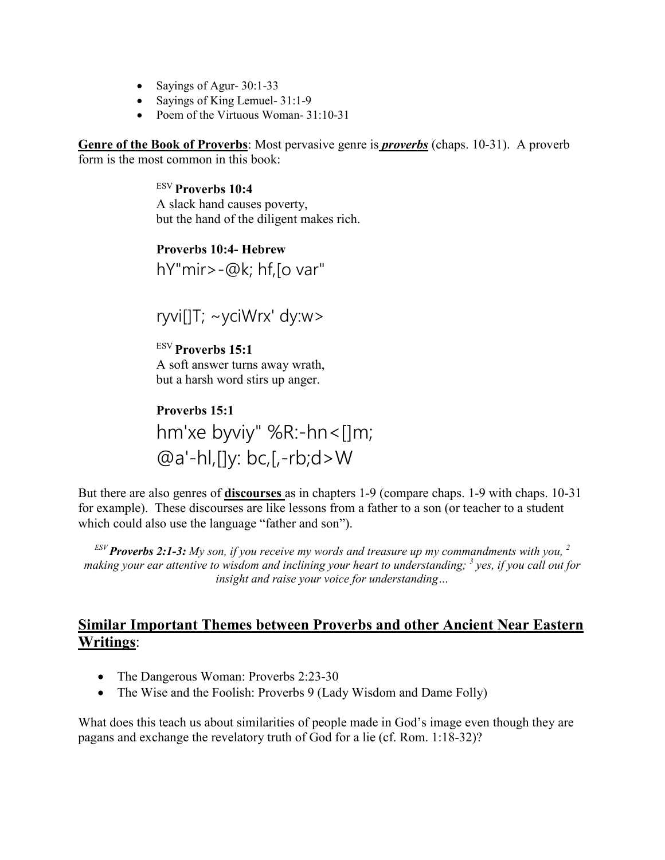- Sayings of Agur- 30:1-33
- Sayings of King Lemuel- 31:1-9
- Poem of the Virtuous Woman- 31:10-31

**Genre of the Book of Proverbs**: Most pervasive genre is *proverbs* (chaps. 10-31). A proverb form is the most common in this book:

> ESV **Proverbs 10:4** A slack hand causes poverty, but the hand of the diligent makes rich.

## **Proverbs 10:4- Hebrew** hY"mir>-@k; hf,[o var"

ryvi[]T; ~yciWrx' dy:w>

ESV **Proverbs 15:1** A soft answer turns away wrath, but a harsh word stirs up anger.

**Proverbs 15:1** hm'xe byviy" %R:-hn<[]m;  $@a'-hl, []y: bc, [-rb; d>W]$ 

But there are also genres of **discourses** as in chapters 1-9 (compare chaps. 1-9 with chaps. 10-31 for example). These discourses are like lessons from a father to a son (or teacher to a student which could also use the language "father and son").

*ESV Proverbs 2:1-3: My son, if you receive my words and treasure up my commandments with you, <sup>2</sup> making your ear attentive to wisdom and inclining your heart to understanding; <sup>3</sup> yes, if you call out for insight and raise your voice for understanding…*

## **Similar Important Themes between Proverbs and other Ancient Near Eastern Writings**:

- The Dangerous Woman: Proverbs 2:23-30
- The Wise and the Foolish: Proverbs 9 (Lady Wisdom and Dame Folly)

What does this teach us about similarities of people made in God's image even though they are pagans and exchange the revelatory truth of God for a lie (cf. Rom. 1:18-32)?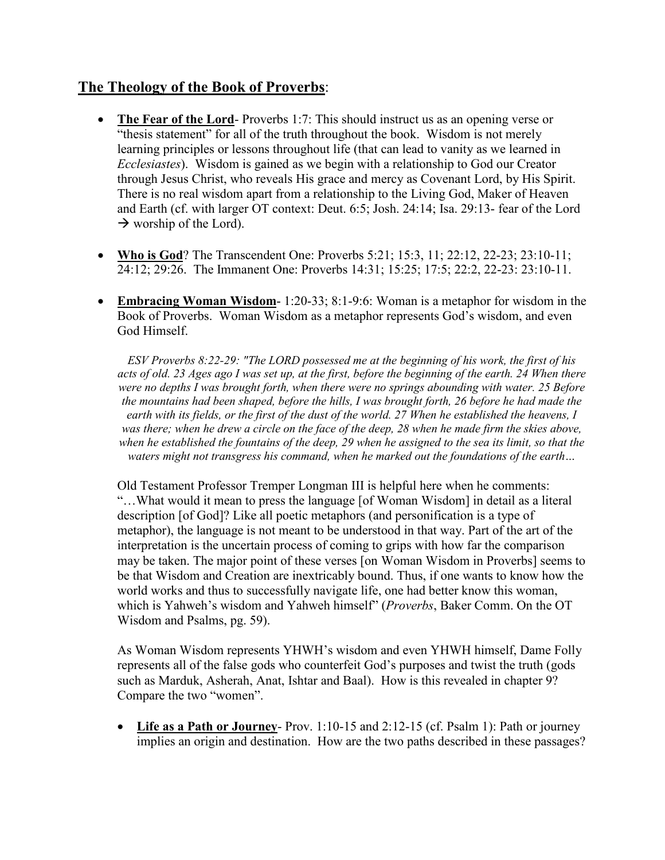## **The Theology of the Book of Proverbs**:

- **The Fear of the Lord-** Proverbs 1:7: This should instruct us as an opening verse or "thesis statement" for all of the truth throughout the book. Wisdom is not merely learning principles or lessons throughout life (that can lead to vanity as we learned in *Ecclesiastes*). Wisdom is gained as we begin with a relationship to God our Creator through Jesus Christ, who reveals His grace and mercy as Covenant Lord, by His Spirit. There is no real wisdom apart from a relationship to the Living God, Maker of Heaven and Earth (cf. with larger OT context: Deut. 6:5; Josh. 24:14; Isa. 29:13- fear of the Lord  $\rightarrow$  worship of the Lord).
- **Who is God**? The Transcendent One: Proverbs 5:21; 15:3, 11; 22:12, 22-23; 23:10-11; 24:12; 29:26. The Immanent One: Proverbs 14:31; 15:25; 17:5; 22:2, 22-23: 23:10-11.
- **Embracing Woman Wisdom** 1:20-33; 8:1-9:6: Woman is a metaphor for wisdom in the Book of Proverbs. Woman Wisdom as a metaphor represents God's wisdom, and even God Himself.

*ESV Proverbs 8:22-29: "The LORD possessed me at the beginning of his work, the first of his acts of old. 23 Ages ago I was set up, at the first, before the beginning of the earth. 24 When there were no depths I was brought forth, when there were no springs abounding with water. 25 Before the mountains had been shaped, before the hills, I was brought forth, 26 before he had made the earth with its fields, or the first of the dust of the world. 27 When he established the heavens, I was there; when he drew a circle on the face of the deep, 28 when he made firm the skies above, when he established the fountains of the deep, 29 when he assigned to the sea its limit, so that the waters might not transgress his command, when he marked out the foundations of the earth…*

Old Testament Professor Tremper Longman III is helpful here when he comments: "…What would it mean to press the language [of Woman Wisdom] in detail as a literal description [of God]? Like all poetic metaphors (and personification is a type of metaphor), the language is not meant to be understood in that way. Part of the art of the interpretation is the uncertain process of coming to grips with how far the comparison may be taken. The major point of these verses [on Woman Wisdom in Proverbs] seems to be that Wisdom and Creation are inextricably bound. Thus, if one wants to know how the world works and thus to successfully navigate life, one had better know this woman, which is Yahweh's wisdom and Yahweh himself" (*Proverbs*, Baker Comm. On the OT Wisdom and Psalms, pg. 59).

As Woman Wisdom represents YHWH's wisdom and even YHWH himself, Dame Folly represents all of the false gods who counterfeit God's purposes and twist the truth (gods such as Marduk, Asherah, Anat, Ishtar and Baal). How is this revealed in chapter 9? Compare the two "women".

• **Life as a Path or Journey**- Prov. 1:10-15 and 2:12-15 (cf. Psalm 1): Path or journey implies an origin and destination. How are the two paths described in these passages?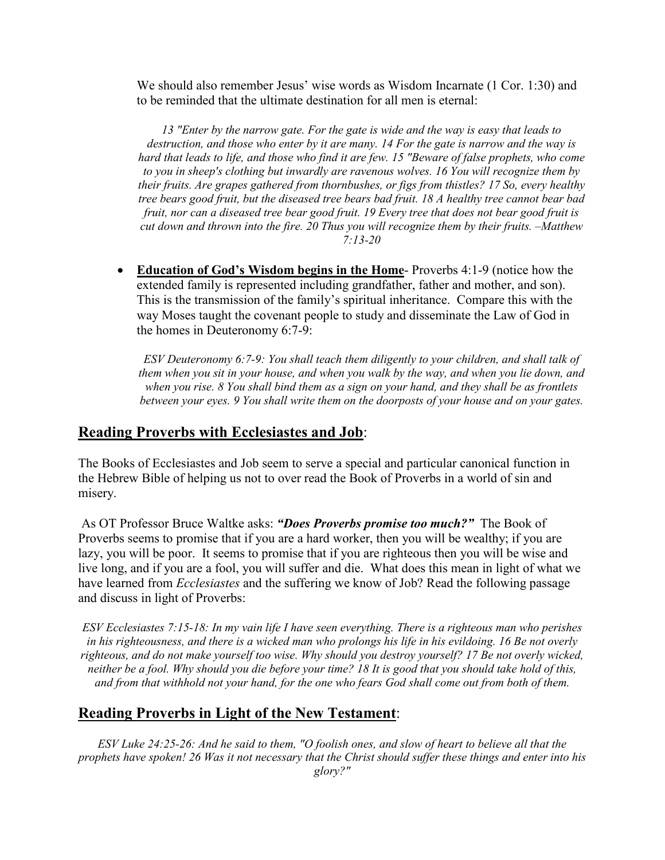We should also remember Jesus' wise words as Wisdom Incarnate (1 Cor. 1:30) and to be reminded that the ultimate destination for all men is eternal:

*13 "Enter by the narrow gate. For the gate is wide and the way is easy that leads to destruction, and those who enter by it are many. 14 For the gate is narrow and the way is hard that leads to life, and those who find it are few. 15 "Beware of false prophets, who come to you in sheep's clothing but inwardly are ravenous wolves. 16 You will recognize them by their fruits. Are grapes gathered from thornbushes, or figs from thistles? 17 So, every healthy tree bears good fruit, but the diseased tree bears bad fruit. 18 A healthy tree cannot bear bad fruit, nor can a diseased tree bear good fruit. 19 Every tree that does not bear good fruit is cut down and thrown into the fire. 20 Thus you will recognize them by their fruits. –Matthew 7:13-20*

• **Education of God's Wisdom begins in the Home**- Proverbs 4:1-9 (notice how the extended family is represented including grandfather, father and mother, and son). This is the transmission of the family's spiritual inheritance. Compare this with the way Moses taught the covenant people to study and disseminate the Law of God in the homes in Deuteronomy 6:7-9:

*ESV Deuteronomy 6:7-9: You shall teach them diligently to your children, and shall talk of them when you sit in your house, and when you walk by the way, and when you lie down, and when you rise. 8 You shall bind them as a sign on your hand, and they shall be as frontlets between your eyes. 9 You shall write them on the doorposts of your house and on your gates.*

### **Reading Proverbs with Ecclesiastes and Job**:

The Books of Ecclesiastes and Job seem to serve a special and particular canonical function in the Hebrew Bible of helping us not to over read the Book of Proverbs in a world of sin and misery.

As OT Professor Bruce Waltke asks: *"Does Proverbs promise too much?"* The Book of Proverbs seems to promise that if you are a hard worker, then you will be wealthy; if you are lazy, you will be poor. It seems to promise that if you are righteous then you will be wise and live long, and if you are a fool, you will suffer and die. What does this mean in light of what we have learned from *Ecclesiastes* and the suffering we know of Job? Read the following passage and discuss in light of Proverbs:

*ESV Ecclesiastes 7:15-18: In my vain life I have seen everything. There is a righteous man who perishes in his righteousness, and there is a wicked man who prolongs his life in his evildoing. 16 Be not overly righteous, and do not make yourself too wise. Why should you destroy yourself? 17 Be not overly wicked, neither be a fool. Why should you die before your time? 18 It is good that you should take hold of this, and from that withhold not your hand, for the one who fears God shall come out from both of them.*

## **Reading Proverbs in Light of the New Testament**:

*ESV Luke 24:25-26: And he said to them, "O foolish ones, and slow of heart to believe all that the prophets have spoken! 26 Was it not necessary that the Christ should suffer these things and enter into his glory?"*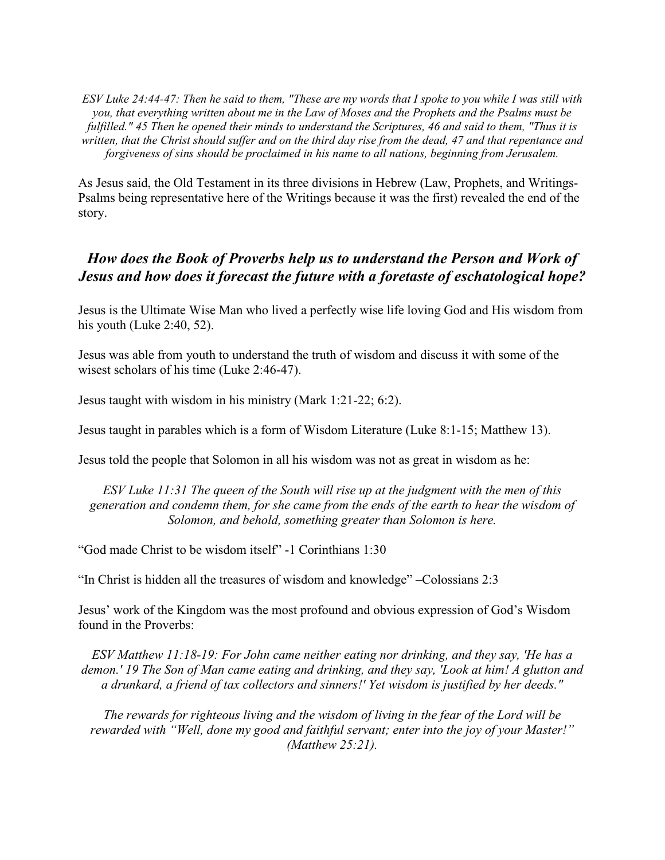*ESV Luke 24:44-47: Then he said to them, "These are my words that I spoke to you while I was still with you, that everything written about me in the Law of Moses and the Prophets and the Psalms must be fulfilled." 45 Then he opened their minds to understand the Scriptures, 46 and said to them, "Thus it is written, that the Christ should suffer and on the third day rise from the dead, 47 and that repentance and forgiveness of sins should be proclaimed in his name to all nations, beginning from Jerusalem.*

As Jesus said, the Old Testament in its three divisions in Hebrew (Law, Prophets, and Writings-Psalms being representative here of the Writings because it was the first) revealed the end of the story.

## *How does the Book of Proverbs help us to understand the Person and Work of Jesus and how does it forecast the future with a foretaste of eschatological hope?*

Jesus is the Ultimate Wise Man who lived a perfectly wise life loving God and His wisdom from his youth (Luke 2:40, 52).

Jesus was able from youth to understand the truth of wisdom and discuss it with some of the wisest scholars of his time (Luke 2:46-47).

Jesus taught with wisdom in his ministry (Mark 1:21-22; 6:2).

Jesus taught in parables which is a form of Wisdom Literature (Luke 8:1-15; Matthew 13).

Jesus told the people that Solomon in all his wisdom was not as great in wisdom as he:

*ESV Luke 11:31 The queen of the South will rise up at the judgment with the men of this generation and condemn them, for she came from the ends of the earth to hear the wisdom of Solomon, and behold, something greater than Solomon is here.*

"God made Christ to be wisdom itself" -1 Corinthians 1:30

"In Christ is hidden all the treasures of wisdom and knowledge" –Colossians 2:3

Jesus' work of the Kingdom was the most profound and obvious expression of God's Wisdom found in the Proverbs:

*ESV Matthew 11:18-19: For John came neither eating nor drinking, and they say, 'He has a demon.' 19 The Son of Man came eating and drinking, and they say, 'Look at him! A glutton and a drunkard, a friend of tax collectors and sinners!' Yet wisdom is justified by her deeds."*

*The rewards for righteous living and the wisdom of living in the fear of the Lord will be rewarded with "Well, done my good and faithful servant; enter into the joy of your Master!" (Matthew 25:21).*